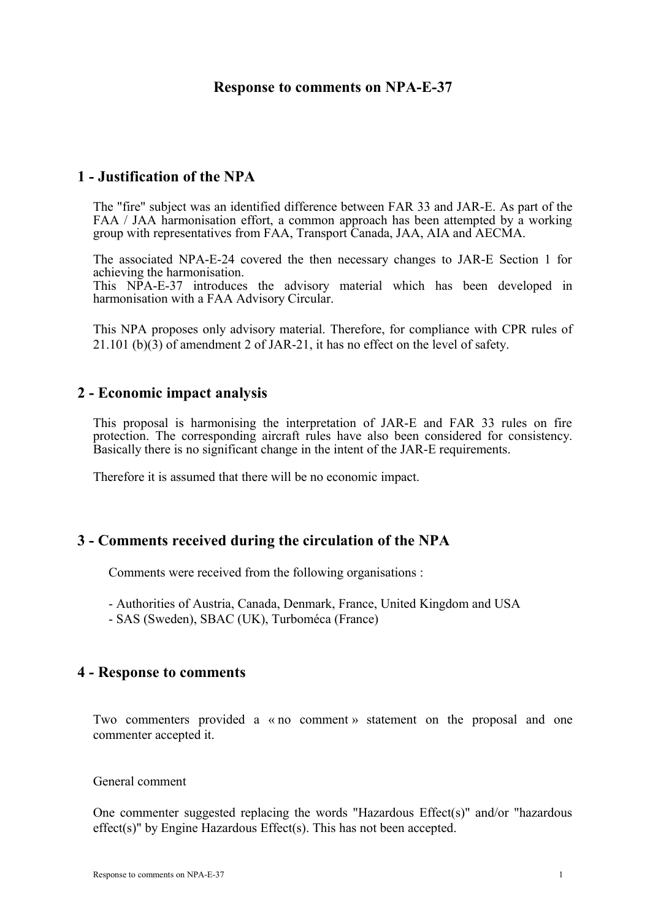## **Response to comments on NPA-E-37**

# **1 - Justification of the NPA**

The "fire" subject was an identified difference between FAR 33 and JAR-E. As part of the FAA / JAA harmonisation effort, a common approach has been attempted by a working group with representatives from FAA, Transport Canada, JAA, AIA and AECMA.

The associated NPA-E-24 covered the then necessary changes to JAR-E Section 1 for achieving the harmonisation.

This NPA-E-37 introduces the advisory material which has been developed in harmonisation with a FAA Advisory Circular.

This NPA proposes only advisory material. Therefore, for compliance with CPR rules of 21.101 (b)(3) of amendment 2 of JAR-21, it has no effect on the level of safety.

## **2 - Economic impact analysis**

This proposal is harmonising the interpretation of JAR-E and FAR 33 rules on fire protection. The corresponding aircraft rules have also been considered for consistency. Basically there is no significant change in the intent of the JAR-E requirements.

Therefore it is assumed that there will be no economic impact.

## **3 - Comments received during the circulation of the NPA**

Comments were received from the following organisations :

- Authorities of Austria, Canada, Denmark, France, United Kingdom and USA

- SAS (Sweden), SBAC (UK), Turboméca (France)

### **4 - Response to comments**

Two commenters provided a « no comment » statement on the proposal and one commenter accepted it.

#### General comment

One commenter suggested replacing the words "Hazardous Effect(s)" and/or "hazardous effect(s)" by Engine Hazardous Effect(s). This has not been accepted.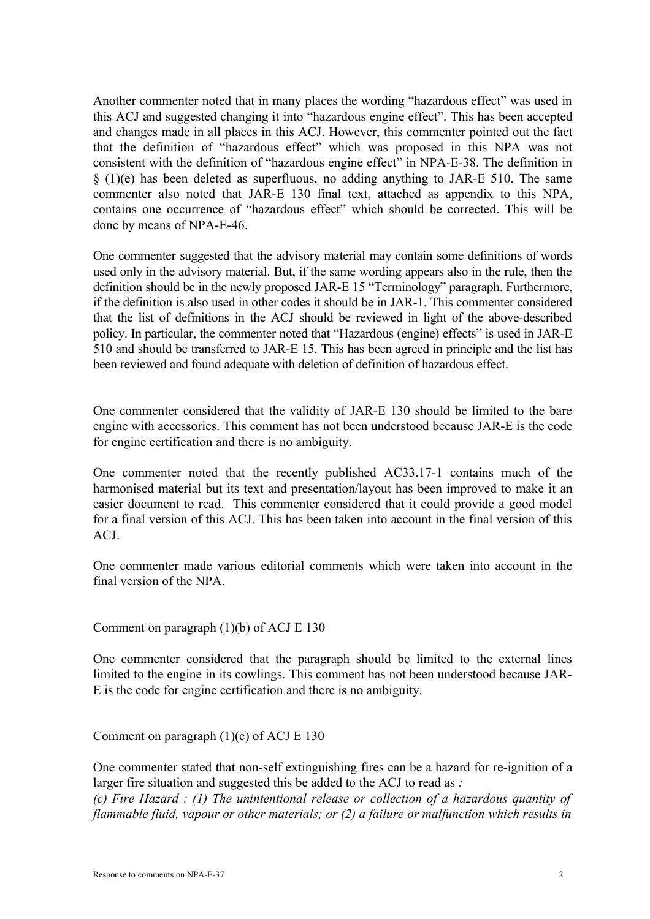Another commenter noted that in many places the wording "hazardous effect" was used in this ACJ and suggested changing it into "hazardous engine effect". This has been accepted and changes made in all places in this ACJ. However, this commenter pointed out the fact that the definition of "hazardous effect" which was proposed in this NPA was not consistent with the definition of "hazardous engine effect" in NPA-E-38. The definition in § (1)(e) has been deleted as superfluous, no adding anything to JAR-E 510. The same commenter also noted that JAR-E 130 final text, attached as appendix to this NPA, contains one occurrence of "hazardous effect" which should be corrected. This will be done by means of NPA-E-46.

One commenter suggested that the advisory material may contain some definitions of words used only in the advisory material. But, if the same wording appears also in the rule, then the definition should be in the newly proposed JAR-E 15 "Terminology" paragraph. Furthermore, if the definition is also used in other codes it should be in JAR-1. This commenter considered that the list of definitions in the ACJ should be reviewed in light of the above-described policy. In particular, the commenter noted that "Hazardous (engine) effects" is used in JAR-E 510 and should be transferred to JAR-E 15. This has been agreed in principle and the list has been reviewed and found adequate with deletion of definition of hazardous effect.

One commenter considered that the validity of JAR-E 130 should be limited to the bare engine with accessories. This comment has not been understood because JAR-E is the code for engine certification and there is no ambiguity.

One commenter noted that the recently published AC33.17-1 contains much of the harmonised material but its text and presentation/layout has been improved to make it an easier document to read. This commenter considered that it could provide a good model for a final version of this ACJ. This has been taken into account in the final version of this ACJ.

One commenter made various editorial comments which were taken into account in the final version of the NPA.

Comment on paragraph (1)(b) of ACJ E 130

One commenter considered that the paragraph should be limited to the external lines limited to the engine in its cowlings. This comment has not been understood because JAR-E is the code for engine certification and there is no ambiguity.

Comment on paragraph (1)(c) of ACJ E 130

One commenter stated that non-self extinguishing fires can be a hazard for re-ignition of a larger fire situation and suggested this be added to the ACJ to read as *: (c) Fire Hazard : (1) The unintentional release or collection of a hazardous quantity of flammable fluid, vapour or other materials; or (2) a failure or malfunction which results in*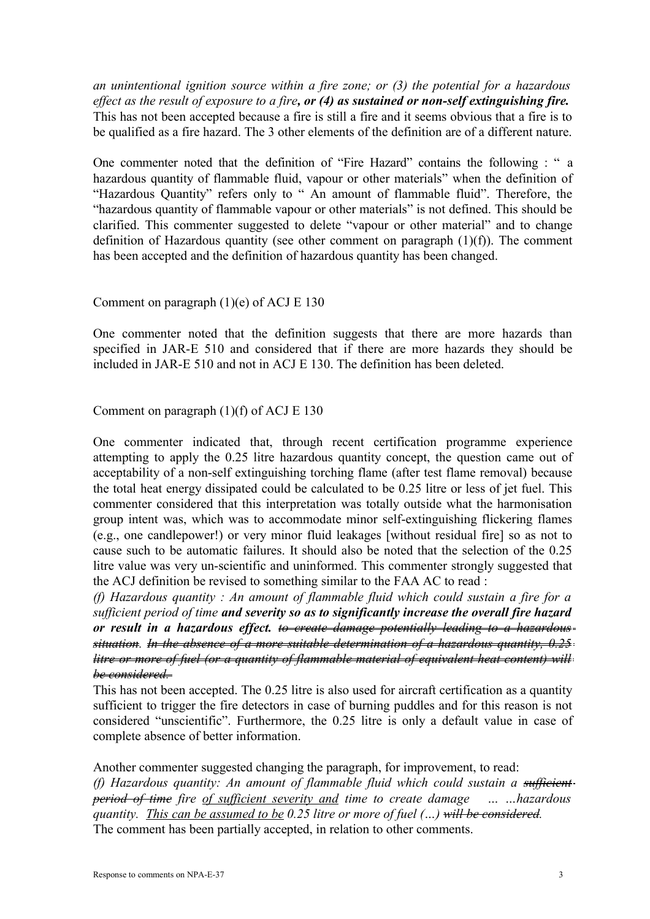*an unintentional ignition source within a fire zone; or (3) the potential for a hazardous effect as the result of exposure to a fire, or (4) as sustained or non-self extinguishing fire.* This has not been accepted because a fire is still a fire and it seems obvious that a fire is to be qualified as a fire hazard. The 3 other elements of the definition are of a different nature.

One commenter noted that the definition of "Fire Hazard" contains the following : " a hazardous quantity of flammable fluid, vapour or other materials" when the definition of "Hazardous Quantity" refers only to " An amount of flammable fluid". Therefore, the "hazardous quantity of flammable vapour or other materials" is not defined. This should be clarified. This commenter suggested to delete "vapour or other material" and to change definition of Hazardous quantity (see other comment on paragraph (1)(f)). The comment has been accepted and the definition of hazardous quantity has been changed.

### Comment on paragraph (1)(e) of ACJ E 130

One commenter noted that the definition suggests that there are more hazards than specified in JAR-E 510 and considered that if there are more hazards they should be included in JAR-E 510 and not in ACJ E 130. The definition has been deleted.

### Comment on paragraph (1)(f) of ACJ E 130

One commenter indicated that, through recent certification programme experience attempting to apply the 0.25 litre hazardous quantity concept, the question came out of acceptability of a non-self extinguishing torching flame (after test flame removal) because the total heat energy dissipated could be calculated to be 0.25 litre or less of jet fuel. This commenter considered that this interpretation was totally outside what the harmonisation group intent was, which was to accommodate minor self-extinguishing flickering flames (e.g., one candlepower!) or very minor fluid leakages [without residual fire] so as not to cause such to be automatic failures. It should also be noted that the selection of the 0.25 litre value was very un-scientific and uninformed. This commenter strongly suggested that the ACJ definition be revised to something similar to the FAA AC to read :

*(f) Hazardous quantity : An amount of flammable fluid which could sustain a fire for a sufficient period of time and severity so as to significantly increase the overall fire hazard or result in a hazardous effect. to create damage potentially leading to a hazardous situation. In the absence of a more suitable determination of a hazardous quantity, 0.25 litre or more of fuel (or a quantity of flammable material of equivalent heat content) will be considered.* 

This has not been accepted. The 0.25 litre is also used for aircraft certification as a quantity sufficient to trigger the fire detectors in case of burning puddles and for this reason is not considered "unscientific". Furthermore, the 0.25 litre is only a default value in case of complete absence of better information.

Another commenter suggested changing the paragraph, for improvement, to read: *(f) Hazardous quantity: An amount of flammable fluid which could sustain a sufficient period of time fire of sufficient severity and time to create damage … …hazardous quantity. This can be assumed to be 0.25 litre or more of fuel (…) will be considered.* The comment has been partially accepted, in relation to other comments.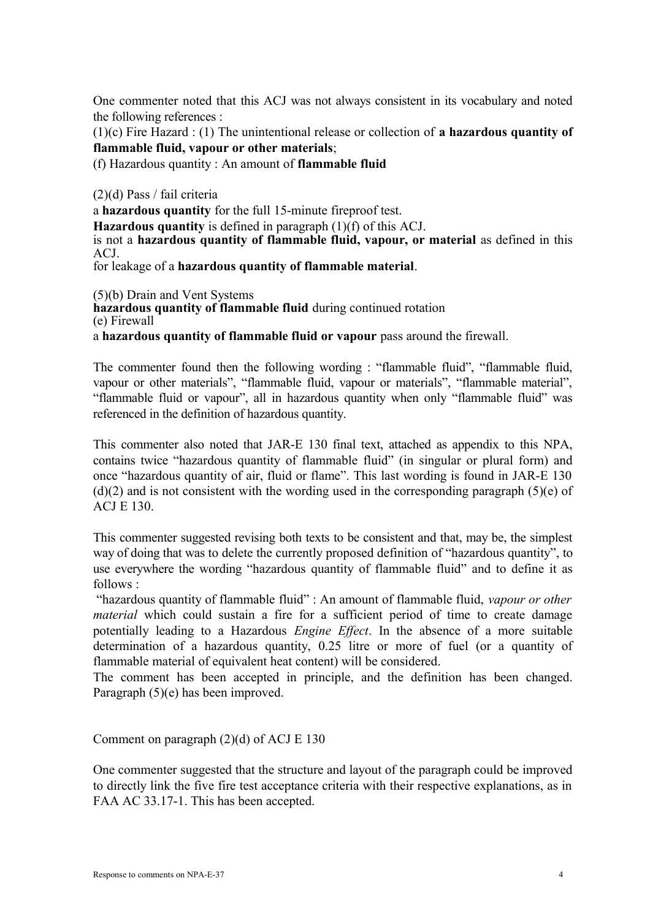One commenter noted that this ACJ was not always consistent in its vocabulary and noted the following references :

(1)(c) Fire Hazard : (1) The unintentional release or collection of **a hazardous quantity of flammable fluid, vapour or other materials**;

(f) Hazardous quantity : An amount of **flammable fluid**

(2)(d) Pass / fail criteria

a **hazardous quantity** for the full 15-minute fireproof test.

**Hazardous quantity** is defined in paragraph (1)(f) of this ACJ.

is not a **hazardous quantity of flammable fluid, vapour, or material** as defined in this ACJ.

for leakage of a **hazardous quantity of flammable material**.

(5)(b) Drain and Vent Systems

**hazardous quantity of flammable fluid** during continued rotation (e) Firewall

a **hazardous quantity of flammable fluid or vapour** pass around the firewall.

The commenter found then the following wording : "flammable fluid", "flammable fluid, vapour or other materials", "flammable fluid, vapour or materials", "flammable material", "flammable fluid or vapour", all in hazardous quantity when only "flammable fluid" was referenced in the definition of hazardous quantity.

This commenter also noted that JAR-E 130 final text, attached as appendix to this NPA, contains twice "hazardous quantity of flammable fluid" (in singular or plural form) and once "hazardous quantity of air, fluid or flame". This last wording is found in JAR-E 130  $(d)(2)$  and is not consistent with the wording used in the corresponding paragraph  $(5)(e)$  of ACJ E 130.

This commenter suggested revising both texts to be consistent and that, may be, the simplest way of doing that was to delete the currently proposed definition of "hazardous quantity", to use everywhere the wording "hazardous quantity of flammable fluid" and to define it as follows :

"hazardous quantity of flammable fluid" : An amount of flammable fluid, *vapour or other material* which could sustain a fire for a sufficient period of time to create damage potentially leading to a Hazardous *Engine Effect*. In the absence of a more suitable determination of a hazardous quantity, 0.25 litre or more of fuel (or a quantity of flammable material of equivalent heat content) will be considered.

The comment has been accepted in principle, and the definition has been changed. Paragraph (5)(e) has been improved.

Comment on paragraph (2)(d) of ACJ E 130

One commenter suggested that the structure and layout of the paragraph could be improved to directly link the five fire test acceptance criteria with their respective explanations, as in FAA AC 33.17-1. This has been accepted.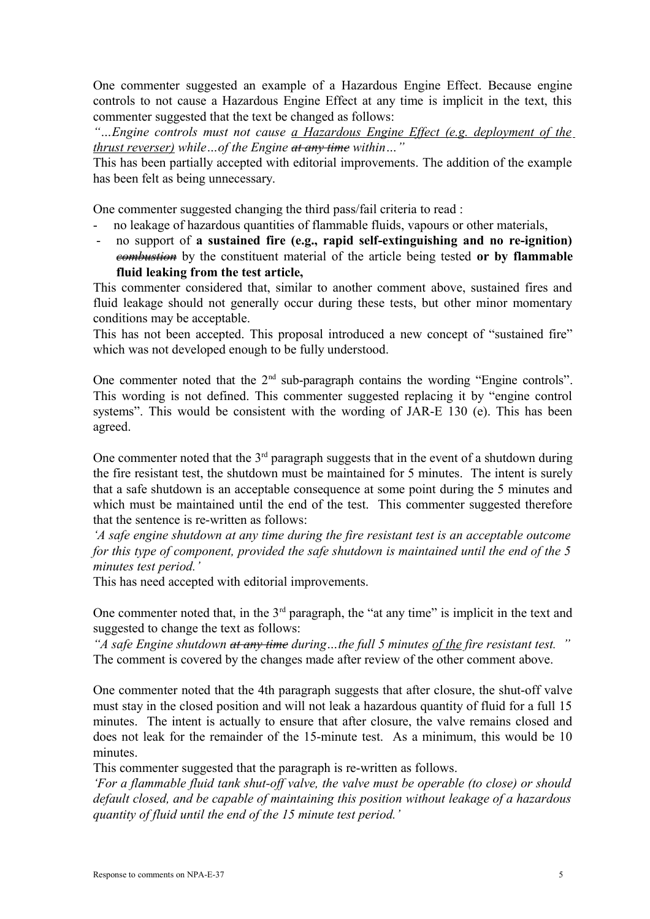One commenter suggested an example of a Hazardous Engine Effect. Because engine controls to not cause a Hazardous Engine Effect at any time is implicit in the text, this commenter suggested that the text be changed as follows:

*"…Engine controls must not cause a Hazardous Engine Effect (e.g. deployment of the thrust reverser) while…of the Engine at any time within…"*

This has been partially accepted with editorial improvements. The addition of the example has been felt as being unnecessary.

One commenter suggested changing the third pass/fail criteria to read :

- no leakage of hazardous quantities of flammable fluids, vapours or other materials,
- no support of **a sustained fire (e.g., rapid self-extinguishing and no re-ignition)** *combustion* by the constituent material of the article being tested **or by flammable fluid leaking from the test article,**

This commenter considered that, similar to another comment above, sustained fires and fluid leakage should not generally occur during these tests, but other minor momentary conditions may be acceptable.

This has not been accepted. This proposal introduced a new concept of "sustained fire" which was not developed enough to be fully understood.

One commenter noted that the  $2<sup>nd</sup>$  sub-paragraph contains the wording "Engine controls". This wording is not defined. This commenter suggested replacing it by "engine control systems". This would be consistent with the wording of JAR-E 130 (e). This has been agreed.

One commenter noted that the  $3<sup>rd</sup>$  paragraph suggests that in the event of a shutdown during the fire resistant test, the shutdown must be maintained for 5 minutes. The intent is surely that a safe shutdown is an acceptable consequence at some point during the 5 minutes and which must be maintained until the end of the test. This commenter suggested therefore that the sentence is re-written as follows:

*'A safe engine shutdown at any time during the fire resistant test is an acceptable outcome for this type of component, provided the safe shutdown is maintained until the end of the 5 minutes test period.'*

This has need accepted with editorial improvements.

One commenter noted that, in the  $3<sup>rd</sup>$  paragraph, the "at any time" is implicit in the text and suggested to change the text as follows:

*"A safe Engine shutdown at any time during…the full 5 minutes of the fire resistant test. "* The comment is covered by the changes made after review of the other comment above.

One commenter noted that the 4th paragraph suggests that after closure, the shut-off valve must stay in the closed position and will not leak a hazardous quantity of fluid for a full 15 minutes. The intent is actually to ensure that after closure, the valve remains closed and does not leak for the remainder of the 15-minute test. As a minimum, this would be 10 minutes.

This commenter suggested that the paragraph is re-written as follows.

*'For a flammable fluid tank shut-off valve, the valve must be operable (to close) or should default closed, and be capable of maintaining this position without leakage of a hazardous quantity of fluid until the end of the 15 minute test period.'*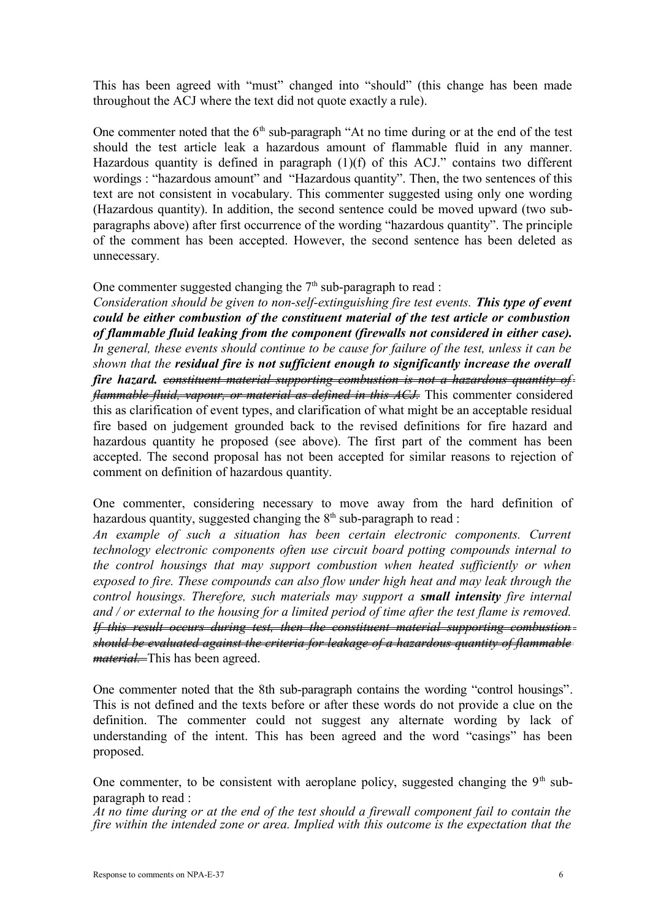This has been agreed with "must" changed into "should" (this change has been made throughout the ACJ where the text did not quote exactly a rule).

One commenter noted that the  $6<sup>th</sup>$  sub-paragraph "At no time during or at the end of the test should the test article leak a hazardous amount of flammable fluid in any manner. Hazardous quantity is defined in paragraph (1)(f) of this ACJ." contains two different wordings : "hazardous amount" and "Hazardous quantity". Then, the two sentences of this text are not consistent in vocabulary. This commenter suggested using only one wording (Hazardous quantity). In addition, the second sentence could be moved upward (two subparagraphs above) after first occurrence of the wording "hazardous quantity". The principle of the comment has been accepted. However, the second sentence has been deleted as unnecessary.

## One commenter suggested changing the  $7<sup>th</sup>$  sub-paragraph to read :

*Consideration should be given to non-self-extinguishing fire test events. This type of event could be either combustion of the constituent material of the test article or combustion of flammable fluid leaking from the component (firewalls not considered in either case). In general, these events should continue to be cause for failure of the test, unless it can be shown that the residual fire is not sufficient enough to significantly increase the overall fire hazard. constituent material supporting combustion is not a hazardous quantity of flammable fluid, vapour, or material as defined in this ACJ.* This commenter considered this as clarification of event types, and clarification of what might be an acceptable residual fire based on judgement grounded back to the revised definitions for fire hazard and hazardous quantity he proposed (see above). The first part of the comment has been accepted. The second proposal has not been accepted for similar reasons to rejection of comment on definition of hazardous quantity.

One commenter, considering necessary to move away from the hard definition of hazardous quantity, suggested changing the  $8<sup>th</sup>$  sub-paragraph to read :

*An example of such a situation has been certain electronic components. Current technology electronic components often use circuit board potting compounds internal to the control housings that may support combustion when heated sufficiently or when exposed to fire. These compounds can also flow under high heat and may leak through the control housings. Therefore, such materials may support a small intensity fire internal and / or external to the housing for a limited period of time after the test flame is removed. If this result occurs during test, then the constituent material supporting combustion should be evaluated against the criteria for leakage of a hazardous quantity of flammable material.* This has been agreed.

One commenter noted that the 8th sub-paragraph contains the wording "control housings". This is not defined and the texts before or after these words do not provide a clue on the definition. The commenter could not suggest any alternate wording by lack of understanding of the intent. This has been agreed and the word "casings" has been proposed.

One commenter, to be consistent with aeroplane policy, suggested changing the  $9<sup>th</sup>$  subparagraph to read :

*At no time during or at the end of the test should a firewall component fail to contain the fire within the intended zone or area. Implied with this outcome is the expectation that the*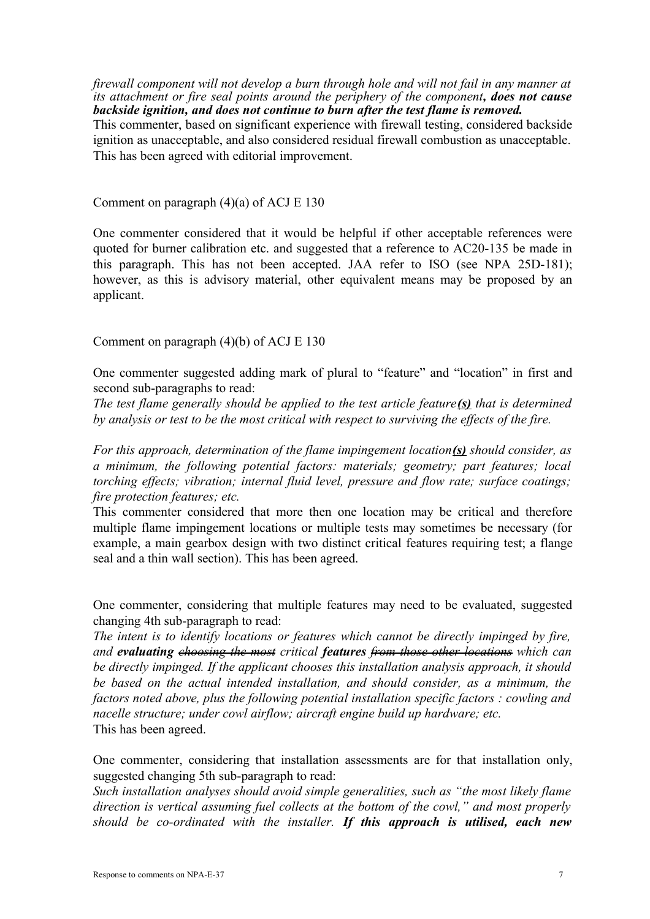*firewall component will not develop a burn through hole and will not fail in any manner at its attachment or fire seal points around the periphery of the component, does not cause backside ignition, and does not continue to burn after the test flame is removed.*

This commenter, based on significant experience with firewall testing, considered backside ignition as unacceptable, and also considered residual firewall combustion as unacceptable. This has been agreed with editorial improvement.

Comment on paragraph (4)(a) of ACJ E 130

One commenter considered that it would be helpful if other acceptable references were quoted for burner calibration etc. and suggested that a reference to AC20-135 be made in this paragraph. This has not been accepted. JAA refer to ISO (see NPA 25D-181); however, as this is advisory material, other equivalent means may be proposed by an applicant.

Comment on paragraph (4)(b) of ACJ E 130

One commenter suggested adding mark of plural to "feature" and "location" in first and second sub-paragraphs to read:

*The test flame generally should be applied to the test article feature(s) that is determined by analysis or test to be the most critical with respect to surviving the effects of the fire.*

*For this approach, determination of the flame impingement location(s) should consider, as a minimum, the following potential factors: materials; geometry; part features; local torching effects; vibration; internal fluid level, pressure and flow rate; surface coatings; fire protection features; etc.*

This commenter considered that more then one location may be critical and therefore multiple flame impingement locations or multiple tests may sometimes be necessary (for example, a main gearbox design with two distinct critical features requiring test; a flange seal and a thin wall section). This has been agreed.

One commenter, considering that multiple features may need to be evaluated, suggested changing 4th sub-paragraph to read:

*The intent is to identify locations or features which cannot be directly impinged by fire, and evaluating choosing the most critical features from those other locations which can be directly impinged. If the applicant chooses this installation analysis approach, it should be based on the actual intended installation, and should consider, as a minimum, the factors noted above, plus the following potential installation specific factors : cowling and nacelle structure; under cowl airflow; aircraft engine build up hardware; etc.* This has been agreed.

One commenter, considering that installation assessments are for that installation only, suggested changing 5th sub-paragraph to read:

*Such installation analyses should avoid simple generalities, such as "the most likely flame direction is vertical assuming fuel collects at the bottom of the cowl," and most properly should be co-ordinated with the installer. If this approach is utilised, each new*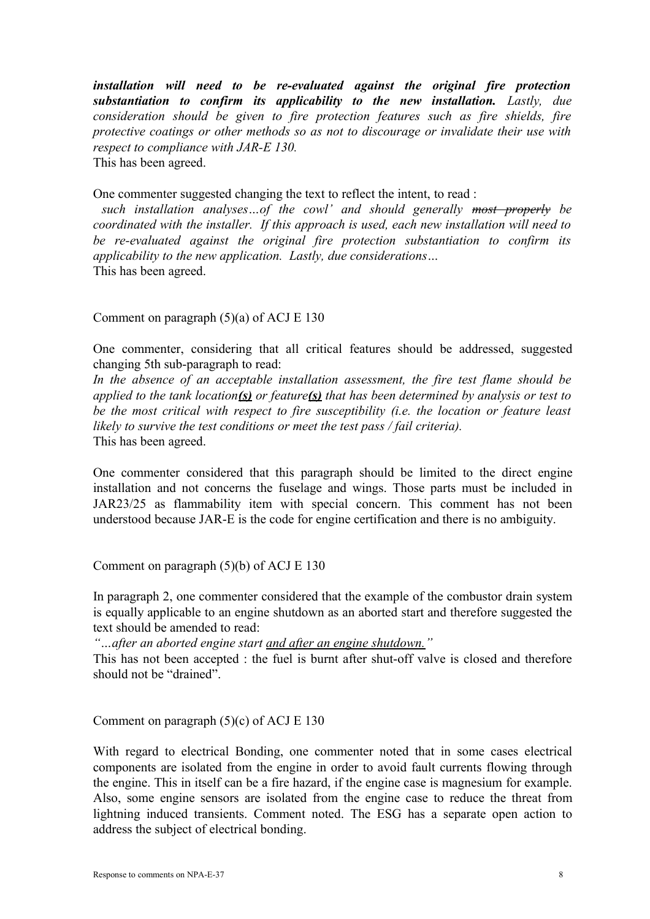*installation will need to be re-evaluated against the original fire protection* **substantiation to confirm its applicability to the new installation.** Lastly, due *consideration should be given to fire protection features such as fire shields, fire protective coatings or other methods so as not to discourage or invalidate their use with respect to compliance with JAR-E 130.*  This has been agreed.

One commenter suggested changing the text to reflect the intent, to read :

 *such installation analyses…of the cowl' and should generally most properly be coordinated with the installer. If this approach is used, each new installation will need to be re-evaluated against the original fire protection substantiation to confirm its applicability to the new application. Lastly, due considerations…* This has been agreed.

Comment on paragraph (5)(a) of ACJ E 130

One commenter, considering that all critical features should be addressed, suggested changing 5th sub-paragraph to read:

*In the absence of an acceptable installation assessment, the fire test flame should be applied to the tank location(s) or feature(s) that has been determined by analysis or test to be the most critical with respect to fire susceptibility (i.e. the location or feature least likely to survive the test conditions or meet the test pass / fail criteria).* This has been agreed.

One commenter considered that this paragraph should be limited to the direct engine installation and not concerns the fuselage and wings. Those parts must be included in JAR23/25 as flammability item with special concern. This comment has not been understood because JAR-E is the code for engine certification and there is no ambiguity.

Comment on paragraph (5)(b) of ACJ E 130

In paragraph 2, one commenter considered that the example of the combustor drain system is equally applicable to an engine shutdown as an aborted start and therefore suggested the text should be amended to read:

*"…after an aborted engine start and after an engine shutdown."*

This has not been accepted : the fuel is burnt after shut-off valve is closed and therefore should not be "drained".

Comment on paragraph (5)(c) of ACJ E 130

With regard to electrical Bonding, one commenter noted that in some cases electrical components are isolated from the engine in order to avoid fault currents flowing through the engine. This in itself can be a fire hazard, if the engine case is magnesium for example. Also, some engine sensors are isolated from the engine case to reduce the threat from lightning induced transients. Comment noted. The ESG has a separate open action to address the subject of electrical bonding.